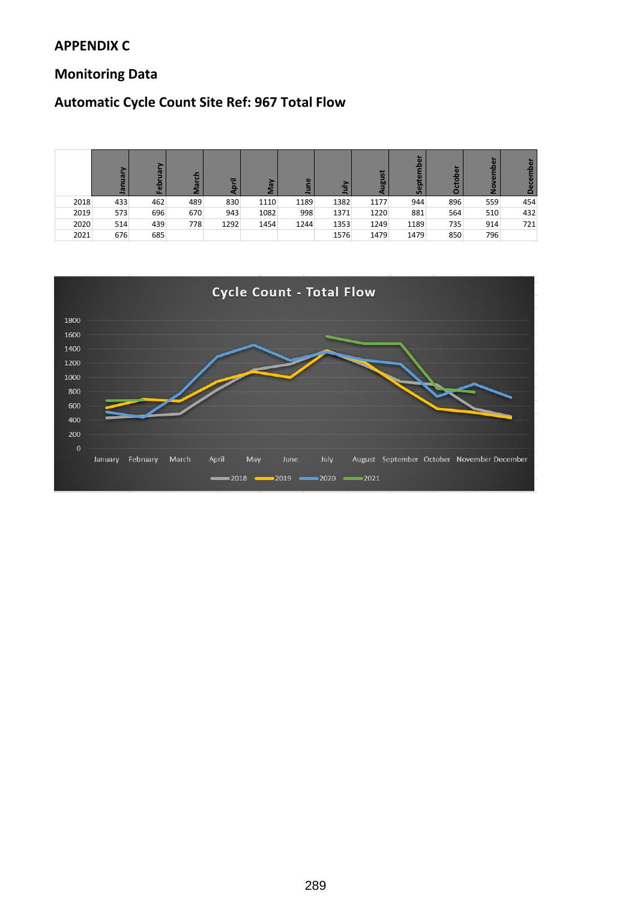### **APPENDIX C**

### **Monitoring Data**

### **Automatic Cycle Count Site Ref: 967 Total Flow**

|      | ā<br>으 | ā<br>Feb |     | ═    |      | $\omega$ |      | in<br>ᇒ | မိ   | о   |     |     |
|------|--------|----------|-----|------|------|----------|------|---------|------|-----|-----|-----|
| 2018 | 433    | 462      | 489 | 830  | 1110 | 1189     | 1382 | 1177    | 944  | 896 | 559 | 454 |
| 2019 | 573    | 696      | 670 | 943  | 1082 | 998      | 1371 | 1220    | 881  | 564 | 510 | 432 |
| 2020 | 514    | 439      | 778 | 1292 | 1454 | 1244     | 1353 | 1249    | 1189 | 735 | 914 | 721 |
| 2021 | 676    | 685      |     |      |      |          | 1576 | 1479    | 1479 | 850 | 796 |     |

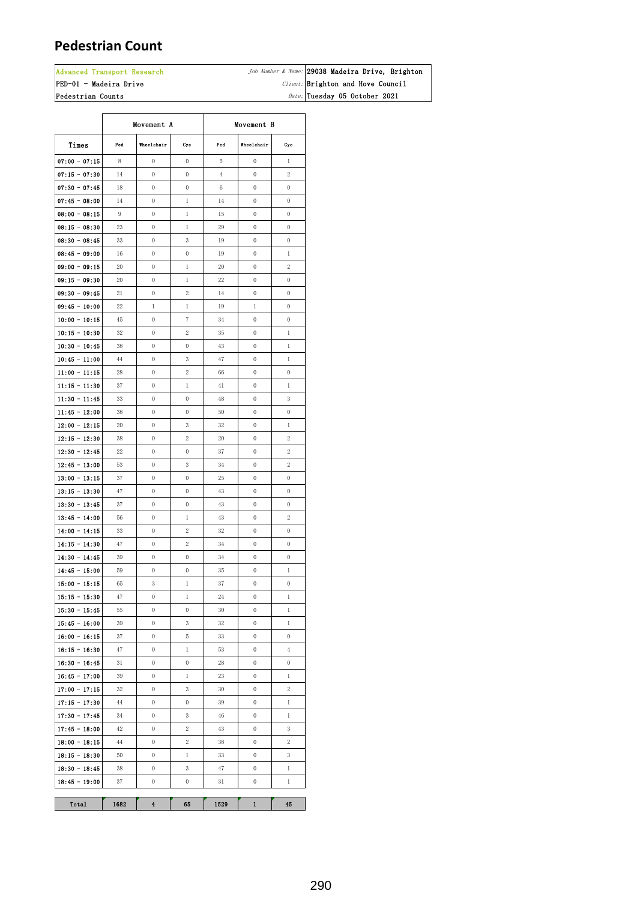### **Pedestrian Count**

#### Advanced Transport Research  $\vert$ PED-01 - Madeira Drive

Pedestrian Counts

Job Number & Name: 29038 Madeira Drive, Brighton Client: Brighton and Hove Council  $Date:$  Tuesday 05 October 2021

|                                    | Movement A |                                      | Movement B                       |                |                       |                                    |
|------------------------------------|------------|--------------------------------------|----------------------------------|----------------|-----------------------|------------------------------------|
| Times                              | Pod        | Wheelchair                           | Cyc                              | Ped            | Wheelchair            | Cyc                                |
| $07:00 - 07:15$                    | 8          | 0                                    | $\boldsymbol{0}$                 | 5              | 0                     | 1                                  |
| $07:15 - 07:30$                    | 14         | $\mathbf 0$                          | $\mathbf{0}$                     | $\overline{4}$ | $\mathbf{0}$          | $\overline{2}$                     |
| $07:30 - 07:45$                    | 18         | $\mathbf 0$                          | $\mathbf 0$                      | 6              | $\mathbf{0}$          | $\mathbf 0$                        |
| $07:45 - 08:00$                    | 14         | $\mathbf{0}$                         | $\mathbf{1}$                     | 14             | $\mathbf{0}$          | $\mathbf{0}$                       |
| $08:00 - 08:15$                    | 9          | $\mathbf 0$                          | $\mathbf{1}$                     | 15             | $\mathbf 0$           | $\boldsymbol{0}$                   |
| $08:15 - 08:30$                    | 23         | $\mathbf 0$                          | $\,1$                            | 29             | $\mathbf 0$           | 0                                  |
| $08:30 - 08:45$                    | 33         | $\mathbf{0}$                         | 3                                | 19             | $\mathbf{0}$          | $\mathbf{0}$                       |
| $08:45 - 09:00$                    | 16         | $\mathbf 0$                          | 0                                | 19             | $\mathbf 0$           | $\mathbf 1$                        |
| $09:00 - 09:15$                    | 20         | 0                                    | $\mathbf{1}$                     | 20             | $\mathbf 0$           | $\overline{c}$                     |
| $09:15 - 09:30$                    | 20         | 0                                    | $\mathbf{1}$                     | 22             | $\mathbf 0$           | 0                                  |
| $09:30 - 09:45$                    | 21         | $\mathbf 0$                          | 2                                | 14             | $\mathbf{0}$          | $\mathbf{0}$                       |
| $09:45 - 10:00$                    | 22         | $\mathbf{1}$                         | $\mathbf{1}$                     | 19             | 1                     | $\mathbf{0}$                       |
| $10:00 - 10:15$                    | 45         | 0                                    | 7                                | 34             | 0                     | $\boldsymbol{0}$                   |
| $10:15 - 10:30$                    | 32         | 0                                    | 2                                | 35             | 0                     | $\mathbf{1}$                       |
| $10:30 - 10:45$                    | 38         | 0                                    | 0                                | 43             | $\mathbf 0$           | $\mathbf{1}$                       |
| $10:45 - 11:00$                    | 44         | 0                                    | 3                                | 47             | $\mathbf 0$           | $\,1$                              |
| $11:00 - 11:15$                    | 28         | 0                                    | 2                                | 66             | 0                     | 0                                  |
| $11:15 - 11:30$                    | 37         | 0                                    | $\mathbf{1}$                     | 41             | 0                     | $\mathbf{1}$                       |
| $11:30 - 11:45$                    | 33         | 0                                    | $\mathbf{0}$                     | 48             | $\mathbf 0$           | 3                                  |
| $11:45 - 12:00$                    | 38         | $\mathbf{0}$                         | $\mathbf 0$                      | 50             | $\mathbf{0}$          | $\mathbf{0}$                       |
| $12:00 - 12:15$                    | 20         | $\mathbf 0$                          | 3                                | 32             | $\mathbf{0}$          | $\,1$                              |
| $12:15 - 12:30$                    | 38         | 0                                    | 2                                | 20             | $\mathbf 0$           | 2                                  |
| $12:30 - 12:45$                    | 22         | $\mathbf 0$                          | $\boldsymbol{0}$                 | 37             | $\mathbf 0$           | $\,2$                              |
| $12:45 - 13:00$                    | 53         | $\mathbf 0$                          | 3                                | 34             | $\mathbf 0$           | 2                                  |
| $13:00 - 13:15$                    | 37         | $\mathbf 0$                          | $\boldsymbol{0}$                 | 25             | $\mathbf 0$           | 0                                  |
| $13:15 - 13:30$                    | 47         | 0                                    | 0                                | 43             | $\mathbf 0$           | 0                                  |
| $13:30 - 13:45$                    | 37         | $\mathbf 0$                          | 0                                | 43             | $\mathbf 0$           | 0                                  |
| $13:45 - 14:00$                    | 56         | 0                                    | $\mathbf{1}$                     | 43             | $\mathbf 0$           | 2                                  |
| $14:00 - 14:15$                    | 33         | 0                                    | 2                                | 32             | $\mathbf 0$           | $\mathbf{0}$                       |
| $14:15 - 14:30$                    | 47         | 0                                    | 2                                | 34             | 0                     | 0                                  |
| $14:30 - 14:45$                    | 39         | 0                                    | $\boldsymbol{0}$                 | 34             | 0                     | 0                                  |
| $14:45 - 15:00$                    | 59         | 0                                    | 0                                | 35             | 0                     | $\mathbf{1}$                       |
| $15:00 - 15:15$                    | 65         | 3                                    | $\mathbf{1}$                     | 37             | $\mathbf 0$           | 0                                  |
| $15:15 - 15:30$                    | 47         | $\boldsymbol{0}$                     | $\mathbf{1}$                     | 24             | $\boldsymbol{0}$      | $\mathbf{1}$                       |
| $15:30 - 15:45$                    | 55         | $\boldsymbol{0}$                     | $\mathbf 0$                      | 30             | $\boldsymbol{0}$      | $\,1$                              |
| $15:45 - 16:00$                    | 39         | $\boldsymbol{0}$                     | 3                                | 32             | $\boldsymbol{0}$      | $\mathbf{1}$                       |
| $16:00 - 16:15$                    | 37         | $\boldsymbol{0}$                     | $\,$ 5 $\,$                      | 33             | $\boldsymbol{0}$      | 0                                  |
| $16:15 - 16:30$                    | 47         | $\boldsymbol{0}$<br>$\boldsymbol{0}$ | $\mathbf{1}$<br>$\boldsymbol{0}$ | 53             | 0<br>$\boldsymbol{0}$ | $\overline{4}$<br>$\boldsymbol{0}$ |
| $16:30 - 16:45$                    | 31<br>39   | 0                                    | $\mathbf{1}$                     | 28<br>23       | 0                     | $\mathbf{1}$                       |
| $16:45 - 17:00$                    | 32         | $\boldsymbol{0}$                     | 3                                | 30             | 0                     | 2                                  |
| $17:00 - 17:15$<br>$17:15 - 17:30$ | 44         | $\boldsymbol{0}$                     | $\boldsymbol{0}$                 | 39             | 0                     | $\mathbf{1}$                       |
| $17:30 - 17:45$                    | 34         | $\boldsymbol{0}$                     | 3                                | $46\,$         | $\boldsymbol{0}$      | $\mathbf{1}$                       |
| $17:45 - 18:00$                    | 42         | $\boldsymbol{0}$                     | 2                                | 43             | 0                     | 3                                  |
| $18:00 - 18:15$                    | 44         | $\boldsymbol{0}$                     | 2                                | 38             | 0                     | 2                                  |
| $18:15 - 18:30$                    | 50         | $\boldsymbol{0}$                     | $\mathbf{1}$                     | 33             | 0                     | 3                                  |
| $18:30 - 18:45$                    | 38         | $\boldsymbol{0}$                     | 3                                | 47             | $\boldsymbol{0}$      | $\mathbf{1}$                       |
| $18:45 - 19:00$                    | 37         | $\boldsymbol{0}$                     | $\mathbf 0$                      | 31             | 0                     | 1                                  |
|                                    |            |                                      |                                  |                |                       |                                    |
| Total                              | 1682       | 4                                    | 65                               | 1529           | 1                     | 45                                 |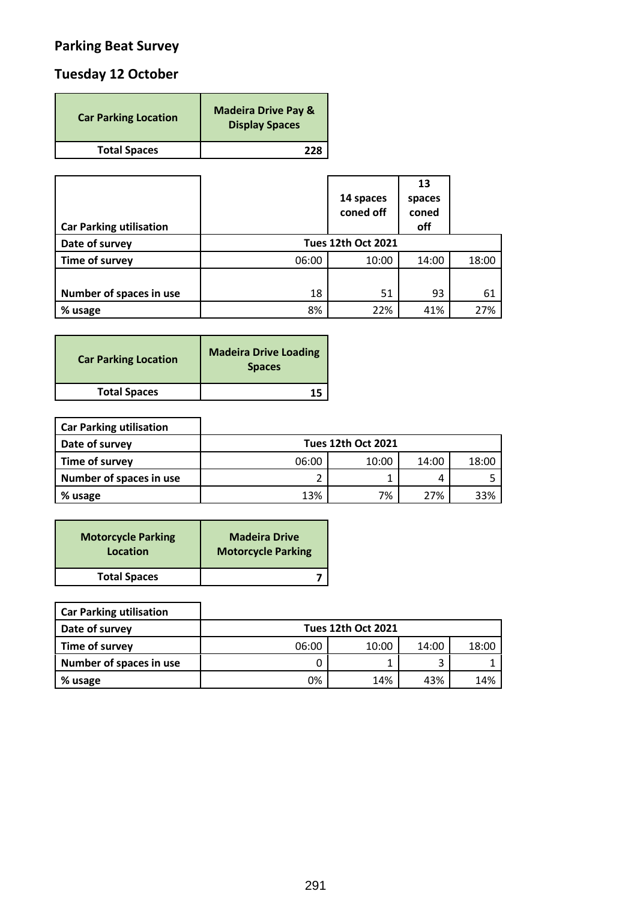# **Parking Beat Survey**

## **Tuesday 12 October**

| <b>Car Parking Location</b> | <b>Madeira Drive Pay &amp;</b><br><b>Display Spaces</b> |
|-----------------------------|---------------------------------------------------------|
| <b>Total Spaces</b>         | つつり                                                     |

| <b>Car Parking utilisation</b> |       | 14 spaces<br>coned off    | 13<br>spaces<br>coned<br>off |       |
|--------------------------------|-------|---------------------------|------------------------------|-------|
| Date of survey                 |       | <b>Tues 12th Oct 2021</b> |                              |       |
| Time of survey                 | 06:00 | 10:00                     | 14:00                        | 18:00 |
| Number of spaces in use        | 18    | 51                        | 93                           | 61    |
| % usage                        | 8%    | 22%                       | 41%                          | 27%   |

| <b>Car Parking Location</b> | <b>Madeira Drive Loading</b><br><b>Spaces</b> |
|-----------------------------|-----------------------------------------------|
| <b>Total Spaces</b>         |                                               |

| <b>Car Parking utilisation</b> |       |                           |       |       |
|--------------------------------|-------|---------------------------|-------|-------|
| Date of survey                 |       | <b>Tues 12th Oct 2021</b> |       |       |
| Time of survey                 | 06:00 | 10:00                     | 14:00 | 18:00 |
| Number of spaces in use        |       |                           |       |       |
| % usage                        | 13%   | 7%                        | 27%   | 33%   |

| <b>Motorcycle Parking</b> | <b>Madeira Drive</b>      |
|---------------------------|---------------------------|
| Location                  | <b>Motorcycle Parking</b> |
| <b>Total Spaces</b>       |                           |

ן

| <b>Car Parking utilisation</b> |  |
|--------------------------------|--|
|--------------------------------|--|

п

| Date of survey          |       | <b>Tues 12th Oct 2021</b> |       |       |
|-------------------------|-------|---------------------------|-------|-------|
| Time of survey          | 06:00 | 10:00                     | 14:00 | 18:00 |
| Number of spaces in use |       |                           |       |       |
| % usage                 | 0%    | 14%                       | 43%   | 14%   |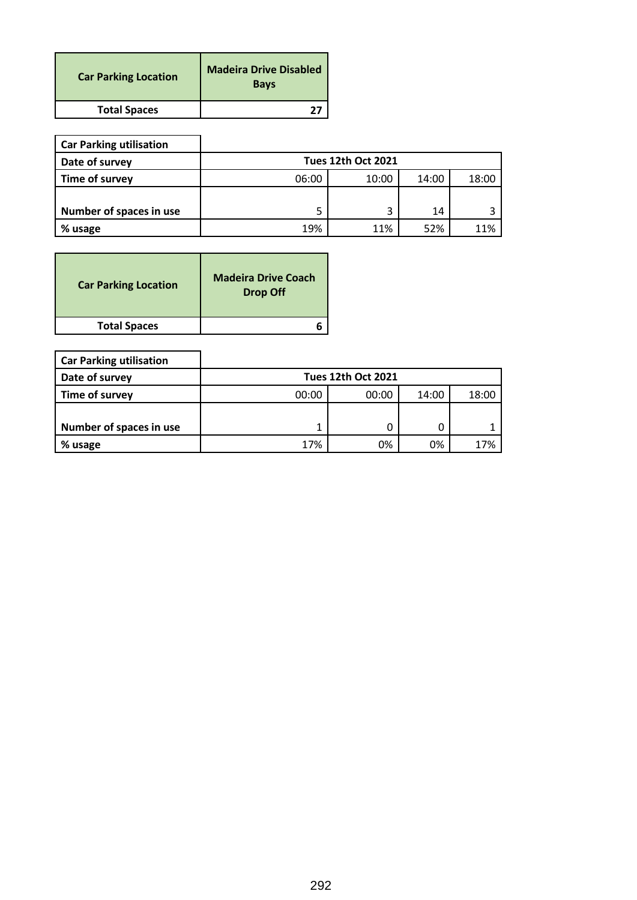| <b>Car Parking Location</b> | <b>Madeira Drive Disabled</b><br><b>Bays</b> |
|-----------------------------|----------------------------------------------|
| <b>Total Spaces</b>         |                                              |

| <b>Car Parking utilisation</b> |                           |       |       |       |  |  |
|--------------------------------|---------------------------|-------|-------|-------|--|--|
| Date of survey                 | <b>Tues 12th Oct 2021</b> |       |       |       |  |  |
| Time of survey                 | 06:00                     | 10:00 | 14:00 | 18:00 |  |  |
|                                |                           |       |       |       |  |  |
| Number of spaces in use        | 5                         | 3     | 14    |       |  |  |
| % usage                        | 19%                       | 11%   | 52%   | 11%   |  |  |

| <b>Car Parking Location</b> | <b>Madeira Drive Coach</b><br><b>Drop Off</b> |
|-----------------------------|-----------------------------------------------|
| <b>Total Spaces</b>         |                                               |

| <b>Car Parking utilisation</b> |       |                           |       |       |
|--------------------------------|-------|---------------------------|-------|-------|
| Date of survey                 |       | <b>Tues 12th Oct 2021</b> |       |       |
| Time of survey                 | 00:00 | 00:00                     | 14:00 | 18:00 |
|                                |       |                           |       |       |
| Number of spaces in use        |       |                           |       |       |
| % usage                        | 17%   | 0%                        | 0%    | 17%   |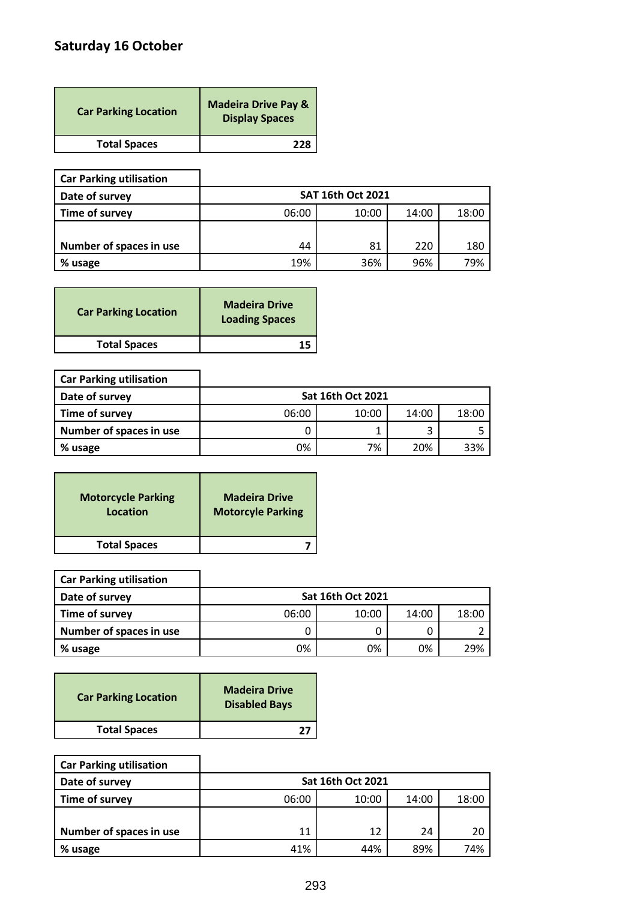# **Saturday 16 October**

| <b>Car Parking Location</b> | <b>Madeira Drive Pay &amp;</b><br><b>Display Spaces</b> |
|-----------------------------|---------------------------------------------------------|
| <b>Total Spaces</b>         | 778                                                     |

| <b>Car Parking utilisation</b> |       |                          |       |       |
|--------------------------------|-------|--------------------------|-------|-------|
| Date of survey                 |       | <b>SAT 16th Oct 2021</b> |       |       |
| Time of survey                 | 06:00 | 10:00                    | 14:00 | 18:00 |
|                                |       |                          |       |       |
| Number of spaces in use        | 44    | 81                       | 220   | 180   |
| % usage                        | 19%   | 36%                      | 96%   | 79%   |

| <b>Car Parking Location</b> | <b>Madeira Drive</b><br><b>Loading Spaces</b> |
|-----------------------------|-----------------------------------------------|
| <b>Total Spaces</b>         |                                               |

| <b>Car Parking utilisation</b> |       |                          |       |       |
|--------------------------------|-------|--------------------------|-------|-------|
| Date of survey                 |       | <b>Sat 16th Oct 2021</b> |       |       |
| Time of survey                 | 06:00 | 10:00                    | 14:00 | 18:00 |
| Number of spaces in use        |       |                          |       |       |
| % usage                        | 0%    | 7%                       | 20%   | 33%   |

| <b>Motorcycle Parking</b> | <b>Madeira Drive</b>     |
|---------------------------|--------------------------|
| Location                  | <b>Motorcyle Parking</b> |
| <b>Total Spaces</b>       |                          |

5

 $\mathbf{r}$ 

| <b>Car Parking utilisation</b> |       |                          |       |       |
|--------------------------------|-------|--------------------------|-------|-------|
| Date of survey                 |       | <b>Sat 16th Oct 2021</b> |       |       |
| Time of survey                 | 06:00 | 10:00                    | 14:00 | 18:00 |
| Number of spaces in use        |       |                          |       |       |
| % usage                        | 0%    | 0%                       | 0%    | 29%   |

| <b>Car Parking Location</b> | <b>Madeira Drive</b><br><b>Disabled Bays</b> |
|-----------------------------|----------------------------------------------|
| <b>Total Spaces</b>         |                                              |

 $\overline{\mathbf{I}}$ 

| <b>Car Parking utilisation</b> |       |                          |       |       |
|--------------------------------|-------|--------------------------|-------|-------|
| Date of survey                 |       | <b>Sat 16th Oct 2021</b> |       |       |
| Time of survey                 | 06:00 | 10:00                    | 14:00 | 18:00 |
|                                |       |                          |       |       |
| Number of spaces in use        | 11    | 12                       | 24    | 20    |
| % usage                        | 41%   | 44%                      | 89%   | 74%   |